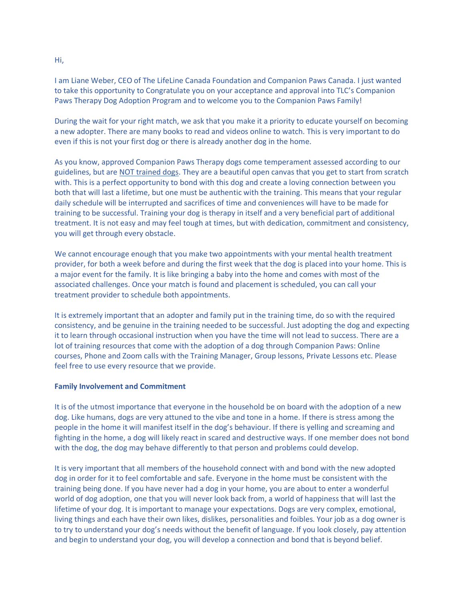I am Liane Weber, CEO of The LifeLine Canada Foundation and Companion Paws Canada. I just wanted to take this opportunity to Congratulate you on your acceptance and approval into TLC's Companion Paws Therapy Dog Adoption Program and to welcome you to the Companion Paws Family!

During the wait for your right match, we ask that you make it a priority to educate yourself on becoming a new adopter. There are many books to read and videos online to watch. This is very important to do even if this is not your first dog or there is already another dog in the home.

As you know, approved Companion Paws Therapy dogs come temperament assessed according to our guidelines, but are NOT trained dogs. They are a beautiful open canvas that you get to start from scratch with. This is a perfect opportunity to bond with this dog and create a loving connection between you both that will last a lifetime, but one must be authentic with the training. This means that your regular daily schedule will be interrupted and sacrifices of time and conveniences will have to be made for training to be successful. Training your dog is therapy in itself and a very beneficial part of additional treatment. It is not easy and may feel tough at times, but with dedication, commitment and consistency, you will get through every obstacle.

We cannot encourage enough that you make two appointments with your mental health treatment provider, for both a week before and during the first week that the dog is placed into your home. This is a major event for the family. It is like bringing a baby into the home and comes with most of the associated challenges. Once your match is found and placement is scheduled, you can call your treatment provider to schedule both appointments.

It is extremely important that an adopter and family put in the training time, do so with the required consistency, and be genuine in the training needed to be successful. Just adopting the dog and expecting it to learn through occasional instruction when you have the time will not lead to success. There are a lot of training resources that come with the adoption of a dog through Companion Paws: Online courses, Phone and Zoom calls with the Training Manager, Group lessons, Private Lessons etc. Please feel free to use every resource that we provide.

## **Family Involvement and Commitment**

It is of the utmost importance that everyone in the household be on board with the adoption of a new dog. Like humans, dogs are very attuned to the vibe and tone in a home. If there is stress among the people in the home it will manifest itself in the dog's behaviour. If there is yelling and screaming and fighting in the home, a dog will likely react in scared and destructive ways. If one member does not bond with the dog, the dog may behave differently to that person and problems could develop.

It is very important that all members of the household connect with and bond with the new adopted dog in order for it to feel comfortable and safe. Everyone in the home must be consistent with the training being done. If you have never had a dog in your home, you are about to enter a wonderful world of dog adoption, one that you will never look back from, a world of happiness that will last the lifetime of your dog. It is important to manage your expectations. Dogs are very complex, emotional, living things and each have their own likes, dislikes, personalities and foibles. Your job as a dog owner is to try to understand your dog's needs without the benefit of language. If you look closely, pay attention and begin to understand your dog, you will develop a connection and bond that is beyond belief.

Hi,